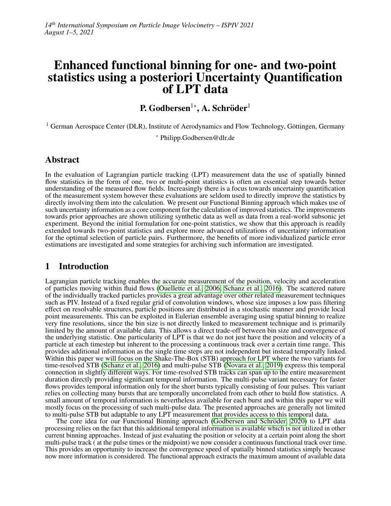# Enhanced functional binning for one- and two-point statistics using a posteriori Uncertainty Quantification of LPT data

P. Godbersen $^{1*}$ , A. Schröder $^{1}$ 

<sup>1</sup> German Aerospace Center (DLR), Institute of Aerodynamics and Flow Technology, Göttingen, Germany

<sup>∗</sup> Philipp.Godbersen@dlr.de

# Abstract

In the evaluation of Lagrangian particle tracking (LPT) measurement data the use of spatially binned flow statistics in the form of one, two or multi-point statistics is often an essential step towards better understanding of the measured flow fields. Increasingly there is a focus towards uncertainty quantification of the measurement system however these evaluations are seldom used to directly improve the statistics by directly involving them into the calculation. We present our Functional Binning approach which makes use of such uncertainty information as a core component for the calculation of improved statistics. The improvements towards prior approaches are shown utilizing synthetic data as well as data from a real-world subsonic jet experiment. Beyond the initial formulation for one-point statistics, we show that this approach is readily extended towards two-point statistics and explore more advanced utilizations of uncertainty information for the optimal selection of particle pairs. Furthermore, the benefits of more individualized particle error estimations are investigated and some strategies for archiving such information are investigated.

# 1 Introduction

Lagrangian particle tracking enables the accurate measurement of the position, velocity and acceleration of particles moving within fluid flows [\(Ouellette et al., 2006;](#page-11-0) [Schanz et al., 2016\)](#page-11-1). The scattered nature of the individually tracked particles provides a great advantage over other related measurement techniques such as PIV. Instead of a fixed regular grid of convolution windows, whose size imposes a low pass filtering effect on resolvable structures, particle positions are distributed in a stochastic manner and provide local point measurements. This can be exploited in Eulerian ensemble averaging using spatial binning to realize very fine resolutions, since the bin size is not directly linked to measurement technique and is primarily limited by the amount of available data. This allows a direct trade-off between bin size and convergence of the underlying statistic. One particularity of LPT is that we do not just have the position and velocity of a particle at each timestep but inherent to the processing a continuous track over a certain time range. This provides additional information as the single time steps are not independent but instead temporally linked. Within this paper we will focus on the Shake-The-Box (STB) approach for LPT where the two variants for time-resolved STB [\(Schanz et al., 2016\)](#page-11-1) and multi-pulse STB [\(Novara et al., 2019\)](#page-11-2) express this temporal connection in slightly different ways. For time-resolved STB tracks can span up to the entire measurement duration directly providing significant temporal information. The multi-pulse variant necessary for faster flows provides temporal information only for the short bursts typically consisting of four pulses. This variant relies on collecting many bursts that are temporally uncorrelated from each other to build flow statistics. A small amount of temporal information is nevertheless available for each burst and within this paper we will mostly focus on the processing of such multi-pulse data. The presented approaches are generally not limited to multi-pulse STB but adaptable to any LPT measurement that provides access to this temporal data.

The core idea for our Functional Binning approach (Godbersen and Schröder, 2020) to LPT data processing relies on the fact that this additional temporal information is available which is not utilized in other current binning approaches. Instead of just evaluating the position or velocity at a certain point along the short multi-pulse track ( at the pulse times or the midpoint) we now consider a continuous functional track over time. This provides an opportunity to increase the convergence speed of spatially binned statistics simply because now more information is considered. The functional approach extracts the maximum amount of available data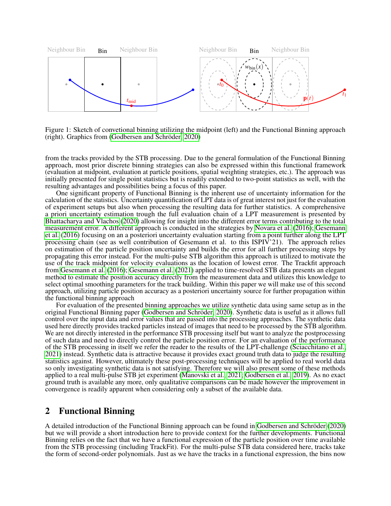

Figure 1: Sketch of convetional binning utilizing the midpoint (left) and the Functional Binning approach  $(right)$ . Graphics from (Godbersen and Schröder, 2020)

from the tracks provided by the STB processing. Due to the general formulation of the Functional Binning approach, most prior discrete binning strategies can also be expressed within this functional framework (evaluation at midpoint, evaluation at particle positions, spatial weighting strategies, etc.). The approach was initially presented for single point statistics but is readily extended to two-point statistics as well, with the resulting advantages and possibilities being a focus of this paper.

One significant property of Functional Binning is the inherent use of uncertainty information for the calculation of the statistics. Uncertainty quantification of LPT data is of great interest not just for the evaluation of experiment setups but also when processing the resulting data for further statistics. A comprehensive a priori uncertainty estimation trough the full evaluation chain of a LPT measurement is presented by [Bhattacharya and Vlachos](#page-10-1) [\(2020\)](#page-10-1) allowing for insight into the different error terms contributing to the total measurement error. A different approach is conducted in the strategies by [Novara et al.](#page-11-3) [\(2016\)](#page-11-3); [Gesemann](#page-10-2) [et al.](#page-10-2) [\(2016\)](#page-10-2) focusing on an a posteriori uncertainty evaluation starting from a point further along the LPT processing chain (see as well contribution of Gesemann et al. to this ISPIV'21). The approach relies on estimation of the particle position uncertainty and builds the error for all further processing steps by propagating this error instead. For the multi-pulse STB algorithm this approach is utilized to motivate the use of the track midpoint for velocity evaluations as the location of lowest error. The Trackfit approach from [Gesemann et al.](#page-10-2) [\(2016\)](#page-10-2); [Gesemann et al.](#page-10-3) [\(2021\)](#page-10-3) applied to time-resolved STB data presents an elegant method to estimate the position accuracy directly from the measurement data and utilizes this knowledge to select optimal smoothing parameters for the track building. Within this paper we will make use of this second approach, utilizing particle position accuracy as a posteriori uncertainty source for further propagation within the functional binning approach

For evaluation of the presented binning approaches we utilize synthetic data using same setup as in the original Functional Binning paper (Godbersen and Schröder, 2020). Synthetic data is useful as it allows full control over the input data and error values that are passed into the processing approaches. The synthetic data used here directly provides tracked particles instead of images that need to be processed by the STB algorithm. We are not directly interested in the performance STB processing itself but want to analyze the postprocessing of such data and need to directly control the particle position error. For an evaluation of the performance of the STB processing in itself we refer the reader to the results of the LPT-challenge [\(Sciacchitano et al.,](#page-11-4) [2021\)](#page-11-4) instead. Synthetic data is attractive because it provides exact ground truth data to judge the resulting statistics against. However, ultimately these post-processing techniques will be applied to real world data so only investigating synthetic data is not satisfying. Therefore we will also present some of these methods applied to a real multi-pulse STB jet experiment [\(Manovski et al., 2021;](#page-10-4) [Godbersen et al., 2019\)](#page-10-5). As no exact ground truth is available any more, only qualitative comparisons can be made however the improvement in convergence is readily apparent when considering only a subset of the available data.

## 2 Functional Binning

A detailed introduction of the Functional Binning approach can be found in Godbersen and Schröder [\(2020\)](#page-10-0) but we will provide a short introduction here to provide context for the further developments. Functional Binning relies on the fact that we have a functional expression of the particle position over time available from the STB processing (including TrackFit). For the multi-pulse STB data considered here, tracks take the form of second-order polynomials. Just as we have the tracks in a functional expression, the bins now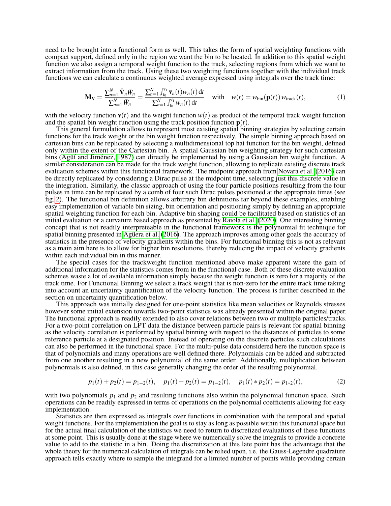need to be brought into a functional form as well. This takes the form of spatial weighting functions with compact support, defined only in the region we want the bin to be located. In addition to this spatial weight function we also assign a temporal weight function to the track, selecting regions from which we want to extract information from the track. Using these two weighting functions together with the individual track functions we can calculate a continuous weighted average expressed using integrals over the track time:

$$
\mathbf{M}_{\mathbf{V}} = \frac{\sum_{n=1}^{N} \bar{\mathbf{V}}_{n} \bar{W}_{n}}{\sum_{n=1}^{N} \bar{W}_{n}} = \frac{\sum_{n=1}^{N} \int_{t_{0}}^{t_{1}} \mathbf{v}_{n}(t) w_{n}(t) dt}{\sum_{n=1}^{N} \int_{t_{0}}^{t_{1}} w_{n}(t) dt} \quad \text{with} \quad w(t) = w_{\text{bin}}(\mathbf{p}(t)) w_{\text{track}}(t), \tag{1}
$$

with the velocity function  $\mathbf{v}(t)$  and the weight function  $w(t)$  as product of the temporal track weight function and the spatial bin weight function using the track position function p(*t*).

This general formulation allows to represent most existing spatial binning strategies by selecting certain functions for the track weight or the bin weight function respectively. The simple binning approach based on cartesian bins can be replicated by selecting a multidimensional top hat function for the bin weight, defined only within the extent of the Cartesian bin. A spatial Gaussian bin weighting strategy for such cartesian bins (Agui' and Jiménez, 1987) can directly be implemented by using a Gaussian bin weight function. A similar consideration can be made for the track weight function, allowing to replicate existing discrete track evaluation schemes within this functional framework. The midpoint approach from [Novara et al.](#page-11-3) [\(2016\)](#page-11-3) can be directly replicated by considering a Dirac pulse at the midpoint time, selecting just this discrete value in the integration. Similarly, the classic approach of using the four particle positions resulting from the four pulses in time can be replicated by a comb of four such Dirac pulses positioned at the appropriate times (see fig. [2\)](#page-3-0). The functional bin definition allows arbitrary bin definitions far beyond these examples, enabling easy implementation of variable bin sizing, bin orientation and positioning simply by defining an appropriate spatial weighting function for each bin. Adaptive bin shaping could be facilitated based on statistics of an initial evaluation or a curvature based approach as presented by [Raiola et al.](#page-11-5) [\(2020\)](#page-11-5). One interesting binning concept that is not readily interpreteable in the functional framework is the polynomial fit technique for spatial binning presented in [Aguera et al.](#page-10-7)  $(2016)$ . The approach improves among other goals the accuracy of statistics in the presence of velocity gradients within the bins. For functional binning this is not as relevant as a main aim here is to allow for higher bin resolutions, thereby reducing the impact of velocity gradients within each individual bin in this manner.

The special cases for the trackweight function mentioned above make apparent where the gain of additional information for the statistics comes from in the functional case. Both of these discrete evaluation schemes waste a lot of available information simply because the weight function is zero for a majority of the track time. For Functional Binning we select a track weight that is non-zero for the entire track time taking into account an uncertainty quantification of the velocity function. The process is further described in the section on uncertainty quantification below.

This approach was initially designed for one-point statistics like mean velocities or Reynolds stresses however some initial extension towards two-point statistics was already presented within the original paper. The functional approach is readily extended to also cover relations between two or multiple particles/tracks. For a two-point correlation on LPT data the distance between particle pairs is relevant for spatial binning as the velocity correlation is performed by spatial binning with respect to the distances of particles to some reference particle at a designated position. Instead of operating on the discrete particles such calculations can also be performed in the functional space. For the multi-pulse data considered here the function space is that of polynomials and many operations are well defined there. Polynomials can be added and subtracted from one another resulting in a new polynomial of the same order. Additionally, multiplication between polynomials is also defined, in this case generally changing the order of the resulting polynomial.

$$
p_1(t) + p_2(t) = p_{1+2}(t), \quad p_1(t) - p_2(t) = p_{1-2}(t), \quad p_1(t) * p_2(t) = p_{1+2}(t), \tag{2}
$$

with two polynomials  $p_1$  and  $p_2$  and resulting functions also within the polynomial function space. Such operations can be readily expressed in terms of operations on the polynomial coefficients allowing for easy implementation.

Statistics are then expressed as integrals over functions in combination with the temporal and spatial weight functions. For the implementation the goal is to stay as long as possible within this functional space but for the actual final calculation of the statistics we need to return to discretized evaluations of these functions at some point. This is usually done at the stage where we numerically solve the integrals to provide a concrete value to add to the statistic in a bin. Doing the discretization at this late point has the advantage that the whole theory for the numerical calculation of integrals can be relied upon, i.e. the Gauss-Legendre quadrature approach tells exactly where to sample the integrand for a limited number of points while providing certain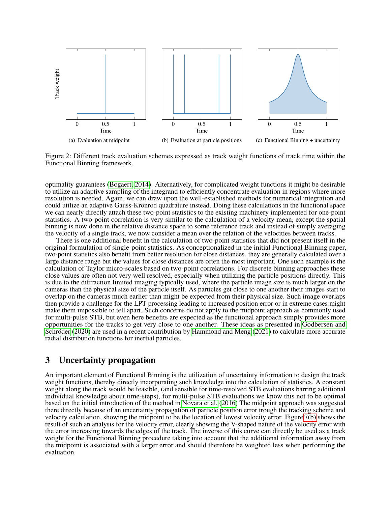

<span id="page-3-0"></span>Figure 2: Different track evaluation schemes expressed as track weight functions of track time within the Functional Binning framework.

optimality guarantees [\(Bogaert, 2014\)](#page-10-8). Alternatively, for complicated weight functions it might be desirable to utilize an adaptive sampling of the integrand to efficiently concentrate evaluation in regions where more resolution is needed. Again, we can draw upon the well-established methods for numerical integration and could utilize an adaptive Gauss-Kronrod quadrature instead. Doing these calculations in the functional space we can nearly directly attach these two-point statistics to the existing machinery implemented for one-point statistics. A two-point correlation is very similar to the calculation of a velocity mean, except the spatial binning is now done in the relative distance space to some reference track and instead of simply averaging the velocity of a single track, we now consider a mean over the relation of the velocities between tracks.

There is one additional benefit in the calculation of two-point statistics that did not present itself in the original formulation of single-point statistics. As conceptionalized in the initial Functional Binning paper, two-point statistics also benefit from better resolution for close distances. they are generally calculated over a large distance range but the values for close distances are often the most important. One such example is the calculation of Taylor micro-scales based on two-point correlations. For discrete binning approaches these close values are often not very well resolved, especially when utilizing the particle positions directly. This is due to the diffraction limited imaging typically used, where the particle image size is much larger on the cameras than the physical size of the particle itself. As particles get close to one another their images start to overlap on the cameras much earlier than might be expected from their physical size. Such image overlaps then provide a challenge for the LPT processing leading to increased position error or in extreme cases might make them impossible to tell apart. Such concerns do not apply to the midpoint approach as commonly used for multi-pulse STB, but even here benefits are expected as the functional approach simply provides more opportunities for the tracks to get very close to one another. These ideas as presented in [Godbersen and](#page-10-0) Schröder [\(2020\)](#page-10-0) are used in a recent contribution by [Hammond and Meng](#page-10-9) [\(2021\)](#page-10-9) to calculate more accurate radial distribution functions for inertial particles.

#### 3 Uncertainty propagation

An important element of Functional Binning is the utilization of uncertainty information to design the track weight functions, thereby directly incorporating such knowledge into the calculation of statistics. A constant weight along the track would be feasible, (and sensible for time-resolved STB evaluations barring additional individual knowledge about time-steps), for multi-pulse STB evaluations we know this not to be optimal based on the initial introduction of the method in [Novara et al.](#page-11-3) [\(2016\)](#page-11-3) The midpoint approach was suggested there directly because of an uncertainty propagation of particle position error trough the tracking scheme and velocity calculation, showing the midpoint to be the location of lowest velocity error. Figure [7\(b\)](#page-8-0) shows the result of such an analysis for the velocity error, clearly showing the V-shaped nature of the velocity error with the error increasing towards the edges of the track. The inverse of this curve can directly be used as a track weight for the Functional Binning procedure taking into account that the additional information away from the midpoint is associated with a larger error and should therefore be weighted less when performing the evaluation.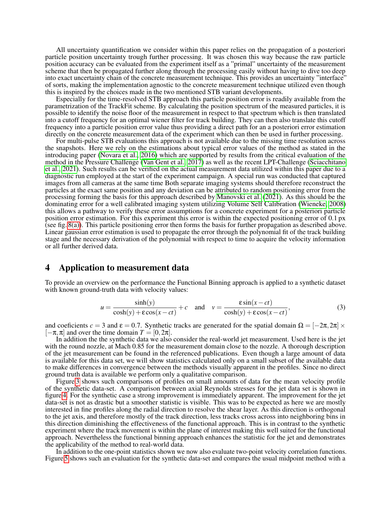All uncertainty quantification we consider within this paper relies on the propagation of a posteriori particle position uncertainty trough further processing. It was chosen this way because the raw particle position accuracy can be evaluated from the experiment itself as a "primal" uncertainty of the measurement scheme that then be propagated further along through the processing easily without having to dive too deep into exact uncertainty chain of the concrete measurement technique. This provides an uncertainty "interface" of sorts, making the implementation agnostic to the concrete measurement technique utilized even though this is inspired by the choices made in the two mentioned STB variant developments.

Especially for the time-resolved STB approach this particle position error is readily available from the parametrization of the TrackFit scheme. By calculating the position spectrum of the measured particles, it is possible to identify the noise floor of the measurement in respect to that spectrum which is then translated into a cutoff frequency for an optimal wiener filter for track building. They can then also translate this cutoff frequency into a particle position error value thus providing a direct path for an a posteriori error estimation directly on the concrete measurement data of the experiment which can then be used in further processing.

For multi-pulse STB evaluations this approach is not available due to the missing time resolution across the snapshots. Here we rely on the estimations about typical error values of the method as stated in the introducing paper [\(Novara et al., 2016\)](#page-11-3) which are supported by results from the critical evaluation of the method in the Pressure Challenge [\(Van Gent et al., 2017\)](#page-11-6) as well as the recent LPT-Challenge [\(Sciacchitano](#page-11-4) [et al., 2021\)](#page-11-4). Such results can be verified on the actual measurement data utilized within this paper due to a diagnostic run employed at the start of the experiment campaign. A special run was conducted that captured images from all cameras at the same time Both separate imaging systems should therefore reconstruct the particles at the exact same position and any deviation can be attributed to random positioning error from the processing forming the basis for this approach described by [Manovski et al.](#page-10-4) [\(2021\)](#page-10-4). As this should be the dominating error for a well calibrated imaging system utilizing Volume Self Calibration [\(Wieneke, 2008\)](#page-11-7) this allows a pathway to verify these error assumptions for a concrete experiment for a posteriori particle position error estimation. For this experiment this error is within the expected positioning error of 0.1 px (see fig. [8\(a\)\)](#page-9-0). This particle positioning error then forms the basis for further propagation as described above. Linear gaussian error estimation is used to propagate the error through the polynomial fit of the track building stage and the necessary derivation of the polynomial with respect to time to acquire the velocity information or all further derived data.

#### 4 Application to measurement data

To provide an overview on the performance the Functional Binning approach is applied to a synthetic dataset with known ground-truth data with velocity values:

$$
u = \frac{\sinh(y)}{\cosh(y) + \epsilon \cos(x - ct)} + c \quad \text{and} \quad v = \frac{\epsilon \sin(x - ct)}{\cosh(y) + \epsilon \cos(x - ct)},\tag{3}
$$

and coeficients  $c = 3$  and  $\epsilon = 0.7$ . Synthetic tracks are generated for the spatial domain  $\Omega = [-2\pi, 2\pi] \times$  $[-\pi,\pi]$  and over the time domain  $T = [0,2\pi]$ .

In addition the the synthetic data we also consider the real-world jet measurement. Used here is the jet with the round nozzle, at Mach 0.85 for the measurement domain close to the nozzle. A thorough description of the jet measurement can be found in the referenced publications. Even though a large amount of data is available for this data set, we will show statistics calculated only on a small subset of the available data to make differences in convergence between the methods visually apparent in the profiles. Since no direct ground truth data is available we perform only a qualitative comparison.

Figure [3](#page-5-0) shows such comparisons of profiles on small amounts of data for the mean velocity profile of the synthetic data-set. A comparison between axial Reynolds stresses for the jet data set is shown in figure [4.](#page-6-0) For the synthetic case a strong improvement is immediately apparent. The improvement for the jet data-set is not as drastic but a smoother statistic is visible. This was to be expected as here we are mostly interested in fine profiles along the radial direction to resolve the shear layer. As this direction is orthogonal to the jet axis, and therefore mostly of the track direction, less tracks cross across into neighboring bins in this direction diminishing the effectiveness of the functional approach. This is in contrast to the synthetic experiment where the track movement is within the plane of interest making this well suited for the functional approach. Nevertheless the functional binning approach enhances the statistic for the jet and demonstrates the applicability of the method to real-world data.

In addition to the one-point statistics shown we now also evaluate two-point velocity correlation functions. Figure [5](#page-6-1) shows such an evaluation for the synthetic data-set and compares the usual midpoint method with a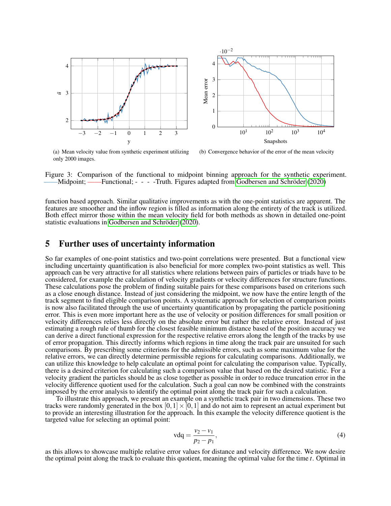

<span id="page-5-0"></span>(a) Mean velocity value from synthetic experiment utilizing only 2000 images.

(b) Convergence behavior of the error of the mean velocity

Figure 3: Comparison of the functional to midpoint binning approach for the synthetic experiment. -Midpoint; ——Functional; - - - -Truth. Figures adapted from Godbersen and Schröder  $(2020)$ 

function based approach. Similar qualitative improvements as with the one-point statistics are apparent. The features are smoother and the inflow region is filled as information along the entirety of the track is utilized. Both effect mirror those within the mean velocity field for both methods as shown in detailed one-point statistic evaluations in Godbersen and Schröder [\(2020\)](#page-10-0).

#### 5 Further uses of uncertainty information

So far examples of one-point statistics and two-point correlations were presented. But a functional view including uncertainty quantification is also beneficial for more complex two-point statistics as well. This approach can be very attractive for all statistics where relations between pairs of particles or triads have to be considered, for example the calculation of velocity gradients or velocity differences for structure functions. These calculations pose the problem of finding suitable pairs for these comparisons based on criterions such as a close enough distance. Instead of just considering the midpoint, we now have the entire length of the track segment to find eligible comparison points. A systematic approach for selection of comparison points is now also facilitated through the use of uncertainty quantification by propagating the particle positioning error. This is even more important here as the use of velocity or position differences for small position or velocity differences relies less directly on the absolute error but rather the relative error. Instead of just estimating a rough rule of thumb for the closest feasible minimum distance based of the position accuracy we can derive a direct functional expression for the respective relative errors along the length of the tracks by use of error propagation. This directly informs which regions in time along the track pair are unsuited for such comparisons. By prescribing some criterions for the admissible errors, such as some maximum value for the relative errors, we can directly determine permissible regions for calculating comparisons. Additionally, we can utilize this knowledge to help calculate an optimal point for calculating the comparison value. Typically, there is a desired criterion for calculating such a comparison value that based on the desired statistic. For a velocity gradient the particles should be as close together as possible in order to reduce truncation error in the velocity difference quotient used for the calculation. Such a goal can now be combined with the constraints imposed by the error analysis to identify the optimal point along the track pair for such a calculation.

To illustrate this approach, we present an example on a synthetic track pair in two dimensions. These two tracks were randomly generated in the box  $[0,1] \times [0,1]$  and do not aim to represent an actual experiment but to provide an interesting illustration for the approach. In this example the velocity difference quotient is the targeted value for selecting an optimal point:

<span id="page-5-1"></span>
$$
vdq = \frac{v_2 - v_1}{p_2 - p_1},
$$
\n(4)

as this allows to showcase multiple relative error values for distance and velocity difference. We now desire the optimal point along the track to evaluate this quotient, meaning the optimal value for the time *t*. Optimal in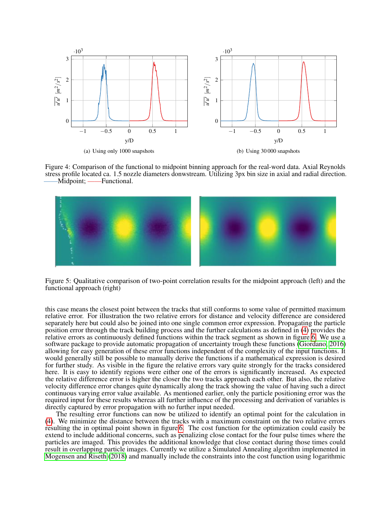

<span id="page-6-0"></span>Figure 4: Comparison of the functional to midpoint binning approach for the real-word data. Axial Reynolds stress profile located ca. 1.5 nozzle diameters donwstream. Utilizing 3px bin size in axial and radial direction. —Functional.



<span id="page-6-1"></span>Figure 5: Qualitative comparison of two-point correlation results for the midpoint approach (left) and the functional approach (right)

this case means the closest point between the tracks that still conforms to some value of permitted maximum relative error. For illustration the two relative errors for distance and velocity difference are considered separately here but could also be joined into one single common error expression. Propagating the particle position error through the track building process and the further calculations as defined in [\(4\)](#page-5-1) provides the relative errors as continuously defined functions within the track segment as shown in figure [6.](#page-7-0) We use a software package to provide automatic propagation of uncertainty trough these functions [\(Giordano, 2016\)](#page-10-10) allowing for easy generation of these error functions independent of the complexity of the input functions. It would generally still be possible to manually derive the functions if a mathematical expression is desired for further study. As visible in the figure the relative errors vary quite strongly for the tracks considered here. It is easy to identify regions were either one of the errors is significantly increased. As expected the relative difference error is higher the closer the two tracks approach each other. But also, the relative velocity difference error changes quite dynamically along the track showing the value of having such a direct continuous varying error value available. As mentioned earlier, only the particle positioning error was the required input for these results whereas all further influence of the processing and derivation of variables is directly captured by error propagation with no further input needed.

The resulting error functions can now be utilized to identify an optimal point for the calculation in [\(4\)](#page-5-1). We minimize the distance between the tracks with a maximum constraint on the two relative errors resulting the in optimal point shown in figure [6.](#page-7-0) The cost function for the optimization could easily be extend to include additional concerns, such as penalizing close contact for the four pulse times where the particles are imaged. This provides the additional knowledge that close contact during those times could result in overlapping particle images. Currently we utilize a Simulated Annealing algorithm implemented in [Mogensen and Riseth](#page-10-11) [\(2018\)](#page-10-11) and manually include the constraints into the cost function using logarithmic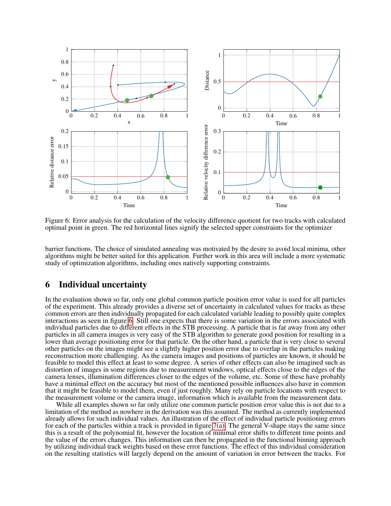

<span id="page-7-0"></span>Figure 6: Error analysis for the calculation of the velocity difference quotient for two tracks with calculated optimal point in green. The red horizontal lines signify the selected upper constraints for the optimizer

barrier functions. The choice of simulated annealing was motivated by the desire to avoid local minima, other algorithms might be better suited for this application. Further work in this area will include a more systematic study of optimization algorithms, including ones natively supporting constraints.

#### 6 Individual uncertainty

In the evaluation shown so far, only one global common particle position error value is used for all particles of the experiment. This already provides a diverse set of uncertainty in calculated values for tracks as these common errors are then individually propagated for each calculated variable leading to possibly quite complex interactions as seen in figure [6.](#page-7-0) Still one expects that there is some variation in the errors associated with individual particles due to different effects in the STB processing. A particle that is far away from any other particles in all camera images is very easy of the STB algorithm to generate good position for resulting in a lower than average positioning error for that particle. On the other hand, a particle that is very close to several other particles on the images might see a slightly higher position error due to overlap in the particles making reconstruction more challenging. As the camera images and positions of particles are known, it should be feasible to model this effect at least to some degree. A series of other effects can also be imagined such as distortion of images in some regions due to measurement windows, optical effects close to the edges of the camera lenses, illumination differences closer to the edges of the volume, etc. Some of these have probably have a minimal effect on the accuracy but most of the mentioned possible influences also have in common that it might be feasible to model them, even if just roughly. Many rely on particle locations with respect to the measurement volume or the camera image, information which is available from the measurement data.

While all examples shown so far only utilize one common particle position error value this is not due to a limitation of the method as nowhere in the derivation was this assumed. The method as currently implemented already allows for such individual values. An illustration of the effect of individual particle positioning errors for each of the particles within a track is provided in figure  $7(a)$ . The general V-shape stays the same since this is a result of the polynomial fit, however the location of minimal error shifts to different time points and the value of the errors changes. This information can then be propagated in the functional binning approach by utilizing individual track weights based on these error functions. The effect of this individual consideration on the resulting statistics will largely depend on the amount of variation in error between the tracks. For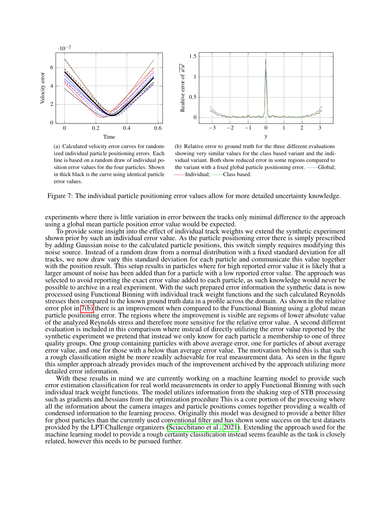<span id="page-8-1"></span>



(a) Calculated velocity error curves for randomized individual particle positioning errors. Each line is based on a random draw of individual position error values for the four particles. Shown in thick black is the curve using identical particle error values.

<span id="page-8-0"></span>(b) Relative error to ground truth for the three different evaluations showing very similar values for the class based variant and the individual variant. Both show reduced error in some regions compared to the variant with a fixed global particle positioning error. ——Global; ——Individual; ——Class based.

Figure 7: The individual particle positioning error values allow for more detailed uncertainty knowledge.

experiments where there is little variation in error between the tracks only minimal difference to the approach using a global mean particle position error value would be expected.

To provide some insight into the effect of individual track weights we extend the synthetic experiment shown prior by such an individual error value. As the particle positioning error there is simply prescribed by adding Gaussian noise to the calculated particle positions, this switch simply requires modifying this noise source. Instead of a random draw from a normal distribution with a fixed standard deviation for all tracks, we now draw vary this standard deviation for each particle and communicate this value together with the position result. This setup results in particles where for high reported error value it is likely that a larger amount of noise has been added than for a particle with a low reported error value. The approach was selected to avoid reporting the exact error value added to each particle, as such knowledge would never be possible to archive in a real experiment. With the such prepared error information the synthetic data is now processed using Functional Binning with individual track weight functions and the such calculated Reynolds stresses then compared to the known ground truth data in a profile across the domain. As shown in the relative error plot in [7\(b\)](#page-8-0) there is an improvement when compared to the Functional Binning using a global mean particle positioning error. The regions where the improvement is visible are regions of lower absolute value of the analyzed Reynolds stress and therefore more sensitive for the relative error value. A second different evaluation is included in this comparison where instead of directly utilizing the error value reported by the synthetic experiment we pretend that instead we only know for each particle a membership to one of three quality groups. One group containing particles with above average error, one for particles of about average error value, and one for those with a below than average error value. The motivation behind this is that such a rough classification might be more readily achievable for real measurement data. As seen in the figure this simpler approach already provides much of the improvement archived by the approach utilizing more detailed error information.

With these results in mind we are currently working on a machine learning model to provide such error estimation classification for real world measurements in order to apply Functional Binning with such individual track weight functions. The model utilizes information from the shaking step of STB processing such as gradients and hessians from the optimization procedure This is a core portion of the processing where all the information about the camera images and particle positions comes together providing a wealth of condensed information to the learning process. Originally this model was designed to provide a better filter for ghost particles than the currently used conventional filter and has shown some success on the test datasets provided by the LPT-Challenge organizers [\(Sciacchitano et al., 2021\)](#page-11-4). Extending the approach used for the machine learning model to provide a rough certainty classification instead seems feasible as the task is closely related, however this needs to be pursued further.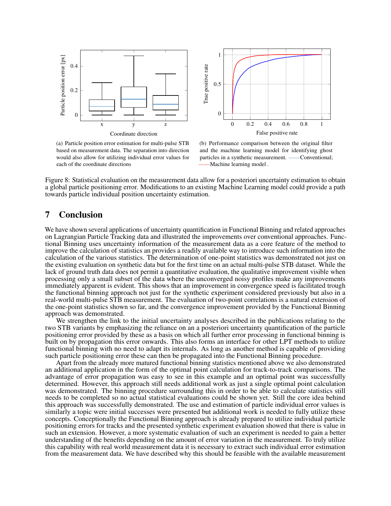<span id="page-9-0"></span>



(a) Particle position error estimation for multi-pulse STB based on measurement data. The separation into direction would also allow for utilizing individual error values for each of the coordinate directions

(b) Performance comparison between the original filter and the machine learning model for identifying ghost particles in a synthetic measurement. ——Conventional; ——Machine learning model .

Figure 8: Statistical evaluation on the measurement data allow for a posteriori uncertainty estimation to obtain a global particle positioning error. Modifications to an existing Machine Learning model could provide a path towards particle individual position uncertainty estimation.

### 7 Conclusion

We have shown several applications of uncertainty quantification in Functional Binning and related approaches on Lagrangian Particle Tracking data and illustrated the improvements over conventional approaches. Functional Binning uses uncertainty information of the measurement data as a core feature of the method to improve the calculation of statistics an provides a readily available way to introduce such information into the calculation of the various statistics. The determination of one-point statistics was demonstrated not just on the existing evaluation on synthetic data but for the first time on an actual multi-pulse STB dataset. While the lack of ground truth data does not permit a quantitative evaluation, the qualitative improvement visible when processing only a small subset of the data where the unconverged noisy profiles make any improvements immediately apparent is evident. This shows that an improvement in convergence speed is facilitated trough the functional binning approach not just for the synthetic experiment considered previously but also in a real-world multi-pulse STB measurement. The evaluation of two-point correlations is a natural extension of the one-point statistics shown so far, and the convergence improvement provided by the Functional Binning approach was demonstrated.

We strengthen the link to the initial uncertainty analyses described in the publications relating to the two STB variants by emphasizing the reliance on an a posteriori uncertainty quantification of the particle positioning error provided by these as a basis on which all further error processing in functional binning is built on by propagation this error onwards. This also forms an interface for other LPT methods to utilize functional binning with no need to adapt its internals. As long as another method is capable of providing such particle positioning error these can then be propagated into the Functional Binning procedure.

Apart from the already more matured functional binning statistics mentioned above we also demonstrated an additional application in the form of the optimal point calculation for track-to-track comparisons. The advantage of error propagation was easy to see in this example and an optimal point was successfully determined. However, this approach still needs additional work as just a single optimal point calculation was demonstrated. The binning procedure surrounding this in order to be able to calculate statistics still needs to be completed so no actual statistical evaluations could be shown yet. Still the core idea behind this approach was successfully demonstrated. The use and estimation of particle individual error values is similarly a topic were initial successes were presented but additional work is needed to fully utilize these concepts. Conceptionally the Functional Binning approach is already prepared to utilize individual particle positioning errors for tracks and the presented synthetic experiment evaluation showed that there is value in such an extension. However, a more systematic evaluation of such an experiment is needed to gain a better understanding of the benefits depending on the amount of error variation in the measurement. To truly utilize this capability with real world measurement data it is necessary to extract such individual error estimation from the measurement data. We have described why this should be feasible with the available measurement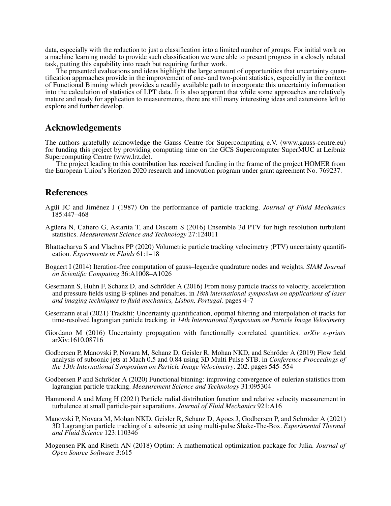data, especially with the reduction to just a classification into a limited number of groups. For initial work on a machine learning model to provide such classification we were able to present progress in a closely related task, putting this capability into reach but requiring further work.

The presented evaluations and ideas highlight the large amount of opportunities that uncertainty quantification approaches provide in the improvement of one- and two-point statistics, especially in the context of Functional Binning which provides a readily available path to incorporate this uncertainty information into the calculation of statistics of LPT data. It is also apparent that while some approaches are relatively mature and ready for application to measurements, there are still many interesting ideas and extensions left to explore and further develop.

### Acknowledgements

The authors gratefully acknowledge the Gauss Centre for Supercomputing e.V. (www.gauss-centre.eu) for funding this project by providing computing time on the GCS Supercomputer SuperMUC at Leibniz Supercomputing Centre (www.lrz.de).

The project leading to this contribution has received funding in the frame of the project HOMER from the European Union's Horizon 2020 research and innovation program under grant agreement No. 769237.

# References

- <span id="page-10-6"></span>Agüí JC and Jiménez J (1987) On the performance of particle tracking. *Journal of Fluid Mechanics* 185:447–468
- <span id="page-10-7"></span>Aguera N, Cafiero G, Astarita T, and Discetti S (2016) Ensemble 3d PTV for high resolution turbulent ¨ statistics. *Measurement Science and Technology* 27:124011
- <span id="page-10-1"></span>Bhattacharya S and Vlachos PP (2020) Volumetric particle tracking velocimetry (PTV) uncertainty quantification. *Experiments in Fluids* 61:1–18
- <span id="page-10-8"></span>Bogaert I (2014) Iteration-free computation of gauss–legendre quadrature nodes and weights. *SIAM Journal on Scientific Computing* 36:A1008–A1026
- <span id="page-10-2"></span>Gesemann S, Huhn F, Schanz D, and Schröder A (2016) From noisy particle tracks to velocity, acceleration and pressure fields using B-splines and penalties. in *18th international symposium on applications of laser and imaging techniques to fluid mechanics, Lisbon, Portugal*. pages 4–7
- <span id="page-10-3"></span>Gesemann et al (2021) Trackfit: Uncertainty quantification, optimal filtering and interpolation of tracks for time-resolved lagrangian particle tracking. in *14th International Symposium on Particle Image Velocimetry*
- <span id="page-10-10"></span>Giordano M (2016) Uncertainty propagation with functionally correlated quantities. *arXiv e-prints* arXiv:1610.08716
- <span id="page-10-5"></span>Godbersen P, Manovski P, Novara M, Schanz D, Geisler R, Mohan NKD, and Schröder A (2019) Flow field analysis of subsonic jets at Mach 0.5 and 0.84 using 3D Multi Pulse STB. in *Conference Proceedings of the 13th International Symposium on Particle Image Velocimetry*. 202. pages 545–554
- <span id="page-10-0"></span>Godbersen P and Schröder A (2020) Functional binning: improving convergence of eulerian statistics from lagrangian particle tracking. *Measurement Science and Technology* 31:095304
- <span id="page-10-9"></span>Hammond A and Meng H (2021) Particle radial distribution function and relative velocity measurement in turbulence at small particle-pair separations. *Journal of Fluid Mechanics* 921:A16
- <span id="page-10-4"></span>Manovski P, Novara M, Mohan NKD, Geisler R, Schanz D, Agocs J, Godbersen P, and Schröder A (2021) 3D Lagrangian particle tracking of a subsonic jet using multi-pulse Shake-The-Box. *Experimental Thermal and Fluid Science* 123:110346
- <span id="page-10-11"></span>Mogensen PK and Riseth AN (2018) Optim: A mathematical optimization package for Julia. *Journal of Open Source Software* 3:615